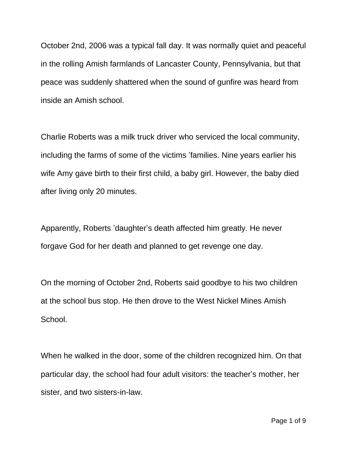October 2nd, 2006 was a typical fall day. It was normally quiet and peaceful in the rolling Amish farmlands of Lancaster County, Pennsylvania, but that peace was suddenly shattered when the sound of gunfire was heard from inside an Amish school.

Charlie Roberts was a milk truck driver who serviced the local community, including the farms of some of the victims 'families. Nine years earlier his wife Amy gave birth to their first child, a baby girl. However, the baby died after living only 20 minutes.

Apparently, Roberts 'daughter's death affected him greatly. He never forgave God for her death and planned to get revenge one day.

On the morning of October 2nd, Roberts said goodbye to his two children at the school bus stop. He then drove to the West Nickel Mines Amish School.

When he walked in the door, some of the children recognized him. On that particular day, the school had four adult visitors: the teacher's mother, her sister, and two sisters-in-law.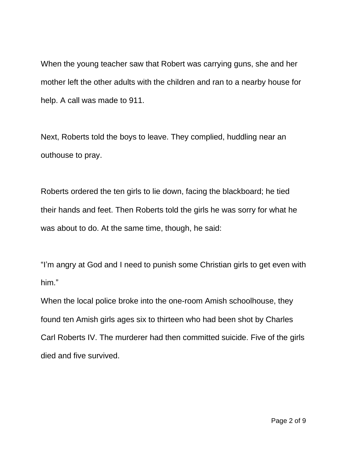When the young teacher saw that Robert was carrying guns, she and her mother left the other adults with the children and ran to a nearby house for help. A call was made to 911.

Next, Roberts told the boys to leave. They complied, huddling near an outhouse to pray.

Roberts ordered the ten girls to lie down, facing the blackboard; he tied their hands and feet. Then Roberts told the girls he was sorry for what he was about to do. At the same time, though, he said:

"I'm angry at God and I need to punish some Christian girls to get even with him."

When the local police broke into the one-room Amish schoolhouse, they found ten Amish girls ages six to thirteen who had been shot by Charles Carl Roberts IV. The murderer had then committed suicide. Five of the girls died and five survived.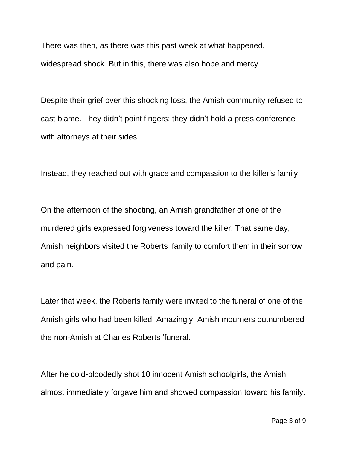There was then, as there was this past week at what happened, widespread shock. But in this, there was also hope and mercy.

Despite their grief over this shocking loss, the Amish community refused to cast blame. They didn't point fingers; they didn't hold a press conference with attorneys at their sides.

Instead, they reached out with grace and compassion to the killer's family.

On the afternoon of the shooting, an Amish grandfather of one of the murdered girls expressed forgiveness toward the killer. That same day, Amish neighbors visited the Roberts 'family to comfort them in their sorrow and pain.

Later that week, the Roberts family were invited to the funeral of one of the Amish girls who had been killed. Amazingly, Amish mourners outnumbered the non-Amish at Charles Roberts 'funeral.

After he cold-bloodedly shot 10 innocent Amish schoolgirls, the Amish almost immediately forgave him and showed compassion toward his family.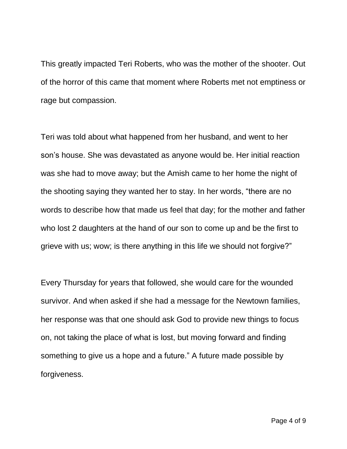This greatly impacted Teri Roberts, who was the mother of the shooter. Out of the horror of this came that moment where Roberts met not emptiness or rage but compassion.

Teri was told about what happened from her husband, and went to her son's house. She was devastated as anyone would be. Her initial reaction was she had to move away; but the Amish came to her home the night of the shooting saying they wanted her to stay. In her words, "there are no words to describe how that made us feel that day; for the mother and father who lost 2 daughters at the hand of our son to come up and be the first to grieve with us; wow; is there anything in this life we should not forgive?"

Every Thursday for years that followed, she would care for the wounded survivor. And when asked if she had a message for the Newtown families, her response was that one should ask God to provide new things to focus on, not taking the place of what is lost, but moving forward and finding something to give us a hope and a future." A future made possible by forgiveness.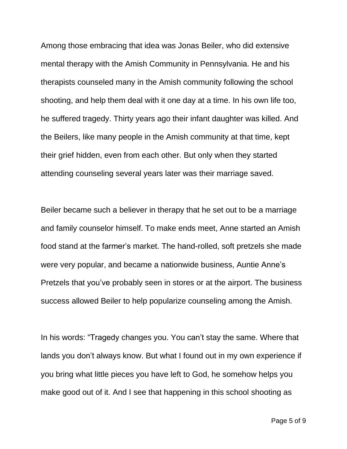Among those embracing that idea was Jonas Beiler, who did extensive mental therapy with the Amish Community in Pennsylvania. He and his therapists counseled many in the Amish community following the school shooting, and help them deal with it one day at a time. In his own life too, he suffered tragedy. Thirty years ago their infant daughter was killed. And the Beilers, like many people in the Amish community at that time, kept their grief hidden, even from each other. But only when they started attending counseling several years later was their marriage saved.

Beiler became such a believer in therapy that he set out to be a marriage and family counselor himself. To make ends meet, Anne started an Amish food stand at the farmer's market. The hand-rolled, soft pretzels she made were very popular, and became a nationwide business, Auntie Anne's Pretzels that you've probably seen in stores or at the airport. The business success allowed Beiler to help popularize counseling among the Amish.

In his words: "Tragedy changes you. You can't stay the same. Where that lands you don't always know. But what I found out in my own experience if you bring what little pieces you have left to God, he somehow helps you make good out of it. And I see that happening in this school shooting as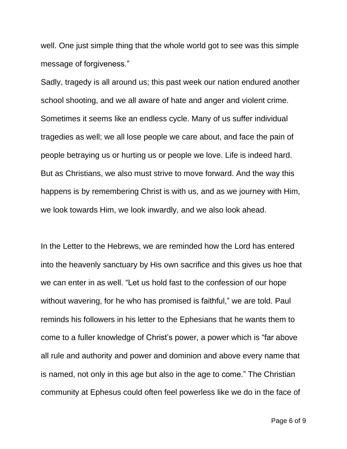well. One just simple thing that the whole world got to see was this simple message of forgiveness."

Sadly, tragedy is all around us; this past week our nation endured another school shooting, and we all aware of hate and anger and violent crime. Sometimes it seems like an endless cycle. Many of us suffer individual tragedies as well; we all lose people we care about, and face the pain of people betraying us or hurting us or people we love. Life is indeed hard. But as Christians, we also must strive to move forward. And the way this happens is by remembering Christ is with us, and as we journey with Him, we look towards Him, we look inwardly, and we also look ahead.

In the Letter to the Hebrews, we are reminded how the Lord has entered into the heavenly sanctuary by His own sacrifice and this gives us hoe that we can enter in as well. "Let us hold fast to the confession of our hope without wavering, for he who has promised is faithful," we are told. Paul reminds his followers in his letter to the Ephesians that he wants them to come to a fuller knowledge of Christ's power, a power which is "far above all rule and authority and power and dominion and above every name that is named, not only in this age but also in the age to come." The Christian community at Ephesus could often feel powerless like we do in the face of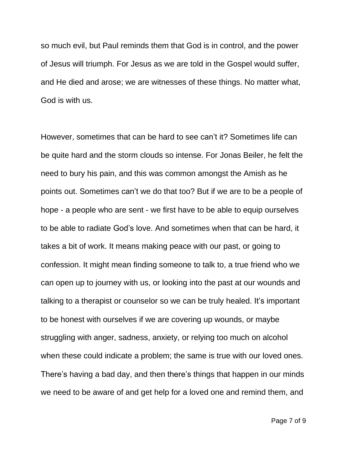so much evil, but Paul reminds them that God is in control, and the power of Jesus will triumph. For Jesus as we are told in the Gospel would suffer, and He died and arose; we are witnesses of these things. No matter what, God is with us.

However, sometimes that can be hard to see can't it? Sometimes life can be quite hard and the storm clouds so intense. For Jonas Beiler, he felt the need to bury his pain, and this was common amongst the Amish as he points out. Sometimes can't we do that too? But if we are to be a people of hope - a people who are sent - we first have to be able to equip ourselves to be able to radiate God's love. And sometimes when that can be hard, it takes a bit of work. It means making peace with our past, or going to confession. It might mean finding someone to talk to, a true friend who we can open up to journey with us, or looking into the past at our wounds and talking to a therapist or counselor so we can be truly healed. It's important to be honest with ourselves if we are covering up wounds, or maybe struggling with anger, sadness, anxiety, or relying too much on alcohol when these could indicate a problem; the same is true with our loved ones. There's having a bad day, and then there's things that happen in our minds we need to be aware of and get help for a loved one and remind them, and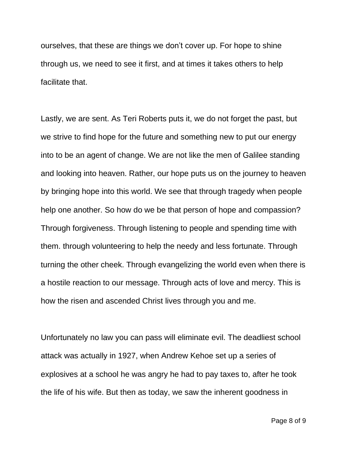ourselves, that these are things we don't cover up. For hope to shine through us, we need to see it first, and at times it takes others to help facilitate that.

Lastly, we are sent. As Teri Roberts puts it, we do not forget the past, but we strive to find hope for the future and something new to put our energy into to be an agent of change. We are not like the men of Galilee standing and looking into heaven. Rather, our hope puts us on the journey to heaven by bringing hope into this world. We see that through tragedy when people help one another. So how do we be that person of hope and compassion? Through forgiveness. Through listening to people and spending time with them. through volunteering to help the needy and less fortunate. Through turning the other cheek. Through evangelizing the world even when there is a hostile reaction to our message. Through acts of love and mercy. This is how the risen and ascended Christ lives through you and me.

Unfortunately no law you can pass will eliminate evil. The deadliest school attack was actually in 1927, when Andrew Kehoe set up a series of explosives at a school he was angry he had to pay taxes to, after he took the life of his wife. But then as today, we saw the inherent goodness in